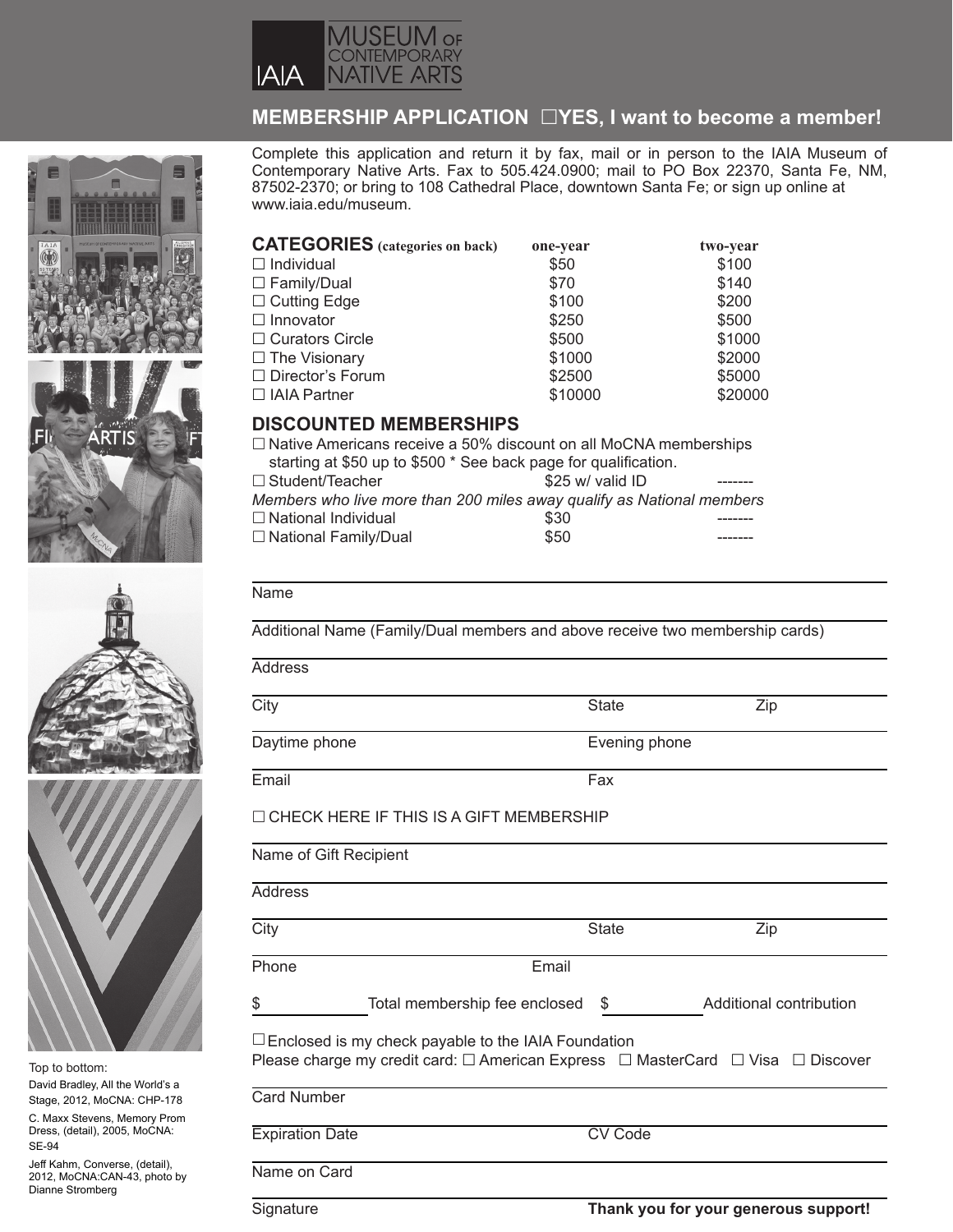

# **MEMBERSHIP APPLICATION** £**YES, I want to become a member!**

Complete this application and return it by fax, mail or in person to the IAIA Museum of Contemporary Native Arts. Fax to 505.424.0900; mail to PO Box 22370, Santa Fe, NM, 87502-2370; or bring to 108 Cathedral Place, downtown Santa Fe; or sign up online at www.iaia.edu/museum.

| <b>CATEGORIES</b> (categories on back) | one-year | two-year |
|----------------------------------------|----------|----------|
| $\Box$ Individual                      | \$50     | \$100    |
| $\Box$ Family/Dual                     | \$70     | \$140    |
| $\Box$ Cutting Edge                    | \$100    | \$200    |
| $\Box$ Innovator                       | \$250    | \$500    |
| $\Box$ Curators Circle                 | \$500    | \$1000   |
| $\Box$ The Visionary                   | \$1000   | \$2000   |
| $\Box$ Director's Forum                | \$2500   | \$5000   |
| $\Box$ IAIA Partner                    | \$10000  | \$20000  |

# **DISCOUNTED MEMBERSHIPS**

|                             | $\Box$ Native Americans receive a 50% discount on all MoCNA memberships |  |
|-----------------------------|-------------------------------------------------------------------------|--|
|                             | starting at \$50 up to \$500 * See back page for qualification.         |  |
| $\Box$ Student/Teacher      | \$25 w/ valid ID                                                        |  |
|                             | Members who live more than 200 miles away qualify as National members   |  |
| $\Box$ National Individual  | \$30                                                                    |  |
| $\Box$ National Family/Dual | \$50                                                                    |  |

#### $\overline{a}$ Name

Additional Name (Family/Dual members and above receive two membership cards)

**Address**  $\overline{a}$ City State Zip  $\overline{\phantom{a}}$ Daytime phone **Evening phone** Email Fax  $\square$  CHECK HERE IF THIS IS A GIFT MEMBERSHIP  $\overline{a}$ Name of Gift Recipient **Address** City State Zip  $\overline{a}$ Phone **Email** \$ Total membership fee enclosed \$ Additional contribution  $\square$  Enclosed is my check payable to the IAIA Foundation Please charge my credit card:  $\Box$  American Express  $\Box$  MasterCard  $\Box$  Visa  $\Box$  Discover Card Number Expiration Date **CV** Code Name on Card

Signature **Thank you for your generous support!**









Top to bottom: David Bradley, All the World's a Stage, 2012, MoCNA: CHP-178

C. Maxx Stevens, Memory Prom Dress, (detail), 2005, MoCNA: SE-94

Jeff Kahm, Converse, (detail), 2012, MoCNA:CAN-43, photo by Dianne Stromberg